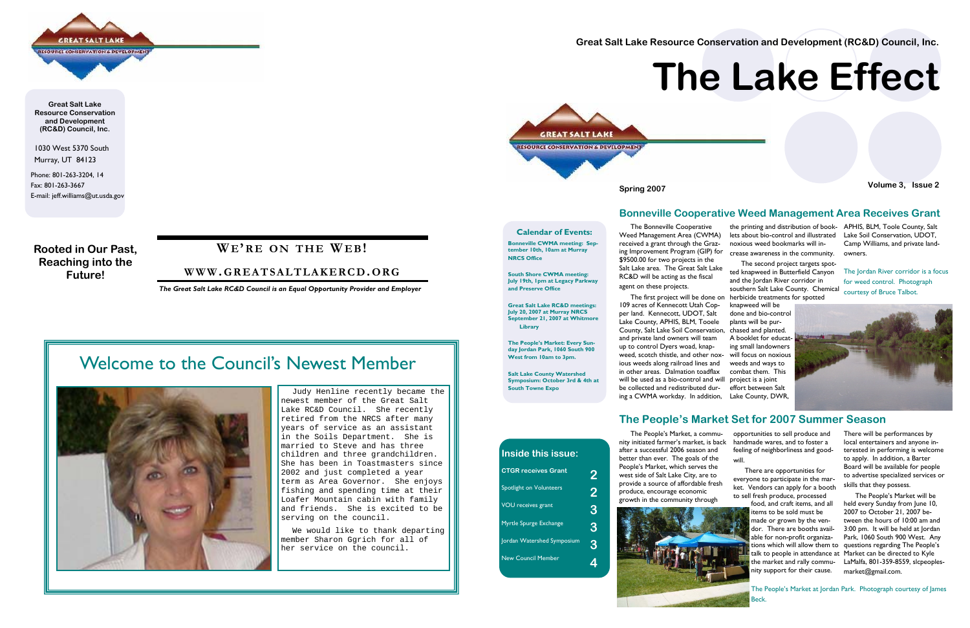1030 West 5370 South Murray, UT 84123

Phone: 801-263-3204, 14 Fax: 801-263-3667 E-mail: jeff.williams@ut.usda.gov

**GREAT SALT LAKE SOURCE CONSERVATION & DEVELOPMENT** 

**Great Salt Lake Resource Conservation and Development (RC&D) Council, Inc.** 

**Rooted in Our Past, Reaching into the Future!** 

### **WE'R E O N THE WE B!**

#### **WWW. GREATSALTLAKERCD.ORG**

*The Great Salt Lake RC&D Council is an Equal Opportunity Provider and Employer* 

 Judy Henline recently became the newest member of the Great Salt Lake RC&D Council. She recently retired from the NRCS after many years of service as an assistant in the Soils Department. She is married to Steve and has three children and three grandchildren. She has been in Toastmasters since 2002 and just completed a year term as Area Governor. She enjoys fishing and spending time at their Loafer Mountain cabin with family and friends. She is excited to be serving on the council.

 We would like to thank departing member Sharon Ggrich for all of her service on the council.

## Welcome to the Council's Newest Member



The Bonneville Cooperative

Weed Management Area (CWMA) received a grant through the Grazing Improvement Program (GIP) for \$9500.00 for two projects in the Salt Lake area. The Great Salt Lake

RC&D will be acting as the fiscal

agent on these projects.

109 acres of Kennecott Utah Copper land. Kennecott, UDOT, Salt Lake County, APHIS, BLM, Tooele

and private land owners will team up to control Dyers woad, knapweed, scotch thistle, and other noxious weeds along railroad lines and in other areas. Dalmation toadflax

 The first project will be done on herbicide treatments for spotted The second project targets spotted knapweed in Butterfield Canyon and the Jordan River corridor in southern Salt Lake County. Chemical

be collected and redistributed during a CWMA workday. In addition,

the printing and distribution of book-APHIS, BLM, Toole County, Salt lets about bio-control and illustrated noxious weed bookmarks will increase awareness in the community.

County, Salt Lake Soil Conservation, chased and planted. will be used as a bio-control and will project is a joint knapweed will be done and bio-control plants will be pur-A booklet for educating small landowners will focus on noxious weeds and ways to combat them. This effort between Salt Lake County, DWR,

#### **Bonneville Cooperative Weed Management Area Receives Grant**

The Jordan River corridor is a focus for weed control. Photograph courtesy of Bruce Talbot.



#### **The People's Market Set for 2007 Summer Season**





opportunities to sell produce and handmade wares, and to foster a feeling of neighborliness and goodwill.

 There are opportunities for everyone to participate in the market. Vendors can apply for a booth to sell fresh produce, processed

food, and craft items, and all items to be sold must be made or grown by the vendor. There are booths available for non-profit organizanity support for their cause.

There will be performances by local entertainers and anyone interested in performing is welcome to apply. In addition, a Barter Board will be available for people to advertise specialized services or skills that they possess.

tions which will allow them to questions regarding The People's talk to people in attendance at Market can be directed to Kyle the market and rally commu-LaMalfa, 801-359-8559, slcpeoples- The People's Market will be held every Sunday from June 10, 2007 to October 21, 2007 between the hours of 10:00 am and 3:00 pm. It will be held at Jordan Park, 1060 South 900 West. Any market@gmail.com.

**Great Salt Lake Resource Conservation and Development (RC&D) Council, Inc.** 



**Spring 2007 Volume 3, Issue 2** 

# **The Lake Effect**

**Calendar of Events:** 

**Bonneville CWMA meeting: September 10th, 10am at Murray NRCS Office** 

**South Shore CWMA meeting: July 19th, 1pm at Legacy Parkway and Preserve Office** 

**Great Salt Lake RC&D meetings: July 20, 2007 at Murray NRCS September 21, 2007 at Whitmore Library** 

**The People's Market: Every Sunday Jordan Park, 1060 South 900 West from 10am to 3pm.** 

**Salt Lake County Watershed Symposium: October 3rd & 4th at South Towne Expo** 

| Inside this issue:             |                |
|--------------------------------|----------------|
| <b>CTGR receives Grant</b>     | $\overline{2}$ |
| <b>Spotlight on Volunteers</b> | 2              |
| <b>VOU</b> receives grant      | 3              |
| Myrtle Spurge Exchange         | 3              |
| Jordan Watershed Symposium     | 3              |
| <b>New Council Member</b>      |                |

Lake Soil Conservation, UDOT, Camp Williams, and private landowners.

The People's Market at Jordan Park. Photograph courtesy of James Beck.